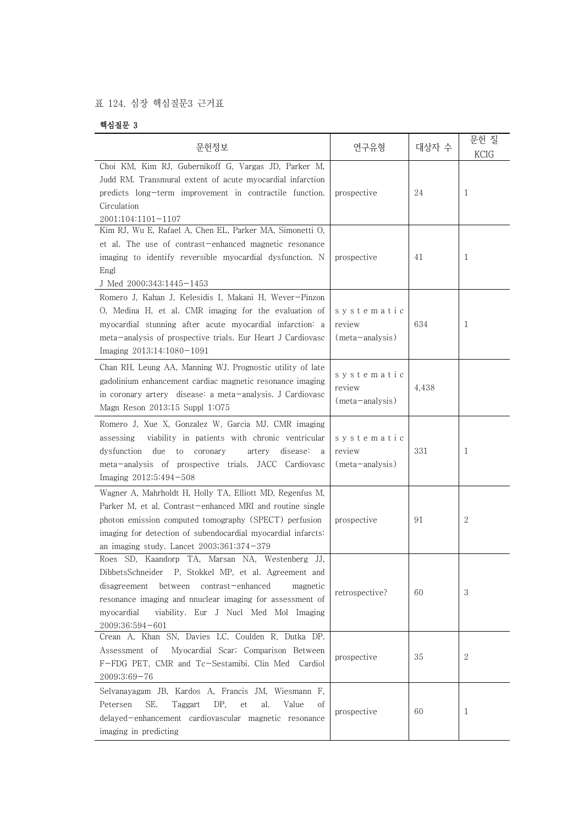## 표 124. 심장 핵심질문3 근거표

## 핵심질문 3

| 문헌정보                                                                                                                                                                                                                                                                                                   | 연구유형                                    | 대상자 수 | 문헌 질<br><b>KCIG</b> |
|--------------------------------------------------------------------------------------------------------------------------------------------------------------------------------------------------------------------------------------------------------------------------------------------------------|-----------------------------------------|-------|---------------------|
| Choi KM, Kim RJ, Gubernikoff G, Vargas JD, Parker M,<br>Judd RM. Transmural extent of acute myocardial infarction<br>predicts long-term improvement in contractile function.<br>Circulation<br>2001;104:1101-1107                                                                                      | prospective                             | 24    | 1                   |
| Kim RJ, Wu E, Rafael A, Chen EL, Parker MA, Simonetti O,<br>et al. The use of contrast-enhanced magnetic resonance<br>imaging to identify reversible myocardial dysfunction. N<br>Engl<br>J Med 2000;343:1445-1453                                                                                     | prospective                             | 41    | 1                   |
| Romero J, Kahan J, Kelesidis I, Makani H, Wever-Pinzon<br>O, Medina H, et al. CMR imaging for the evaluation of<br>myocardial stunning after acute myocardial infarction: a<br>meta-analysis of prospective trials. Eur Heart J Cardiovasc<br>Imaging 2013;14:1080-1091                                | systematic<br>review<br>(meta-analysis) | 634   | 1                   |
| Chan RH, Leung AA, Manning WJ. Prognostic utility of late<br>gadolinium enhancement cardiac magnetic resonance imaging<br>in coronary artery disease: a meta-analysis. J Cardiovasc<br>Magn Reson 2013;15 Suppl 1:075                                                                                  | systematic<br>review<br>(meta-analysis) | 4,438 |                     |
| Romero J, Xue X, Gonzalez W, Garcia MJ. CMR imaging<br>viability in patients with chronic ventricular<br>assessing<br>dysfunction due to coronary<br>disease:<br>artery<br>a<br>meta-analysis of prospective trials. JACC Cardiovasc<br>Imaging $2012;5:494-508$                                       | systematic<br>review<br>(meta-analysis) | 331   | 1                   |
| Wagner A, Mahrholdt H, Holly TA, Elliott MD, Regenfus M,<br>Parker M, et al. Contrast-enhanced MRI and routine single<br>photon emission computed tomography (SPECT) perfusion<br>imaging for detection of subendocardial myocardial infarcts:<br>an imaging study. Lancet $2003;361:374-379$          | prospective                             | 91    | 2                   |
| SD, Kaandorp TA, Marsan NA, Westenberg JJ,<br>Roes<br>DibbetsSchneider P, Stokkel MP, et al. Agreement and<br>disagreement between contrast-enhanced<br>magnetic<br>resonance imaging and nnuclear imaging for assessment of<br>myocardial<br>viability. Eur J Nucl Med Mol Imaging<br>2009;36:594-601 | retrospective?                          | 60    | 3                   |
| Crean A, Khan SN, Davies LC, Coulden R, Dutka DP.<br>Myocardial Scar; Comparison Between<br>Assessment of<br>F-FDG PET, CMR and Tc-Sestamibi. Clin Med Cardiol<br>2009;3:69-76                                                                                                                         | prospective                             | 35    | 2                   |
| Selvanayagam JB, Kardos A, Francis JM, Wiesmann F,<br>SE,<br>Taggart<br>DP,<br>Petersen<br>et<br>al.<br>Value<br>οf<br>delayed-enhancement cardiovascular magnetic resonance<br>imaging in predicting                                                                                                  | prospective                             | 60    | 1                   |